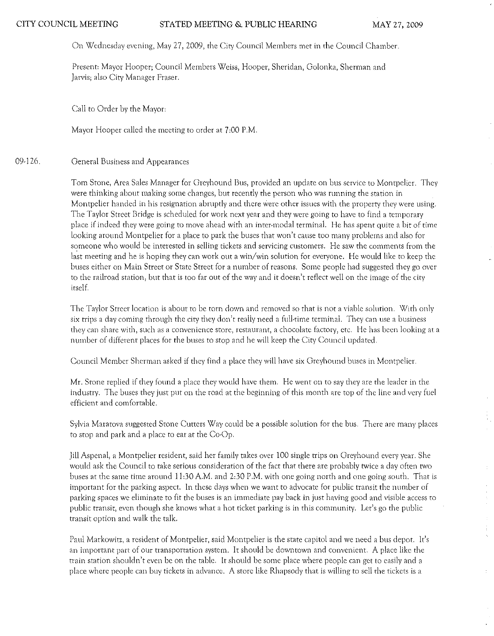On Wednesday evening, May 27,2009, the City Council Members met in the Council Chamber.

Present: Mayor Hooper; Council Members Weiss, Hooper, Sheridan, Golonka, Sherman and Jarvis: also City Manager Fraser.

Call to Otder by the Mayor:

Mayot Hooper called the meeting to order at 7:00 P.M.

### 09-126. General Business and Appearances

Tom Stone, Area Sales Manager for Greyhound Bus, provided an update on bus service to Montpelier. They were thinking about making some changes, but recently the person who was running the station in Montpelier handed in his resignation abruptly and there were other issues with the property they were using. The Taylor Street Bridge is scheduled for work next year and they were going to have to find a temporary place if indeed they were going to move ahead with an intcr-rnodal terminal. He has spent quite a bit of time looking around Montpelier for a place to park the buses that won't cause too many problems and also for someone who would be interested in selling tickets and servicing customers. He saw the comments from the last meeting and he is hoping they can work out a win/win solution for everyone. He would like to keep the buses either on Main Street or State Street for a number of reasons. Some people had suggested they go over to the railroad station, but that is too far out of the way and it doesn't reflect well on the image of the city itself.

The Taylor Street location is about to be torn down and removed so that is not a viable solution. With only six trips a day coming through the city they don't really need a full-time terminal. They can use a business they can share with, such as a convenicnce store, restaurant, a chocolate factory, etc. He has been looking at a number of different places for the buses to stop and hc will keep the City Council updated.

Council Member Shennan asked if they find a place they will have six Greyhound buses in Montpelier.

Mr. Stone replied if they found a place they would have them. He went on to say they are the leader in the industry. The buses they just put on the road at the beginning of this month are top of the line and very fuel efficient and comfortable.

SylVia Maratova suggested Stone Cutters Way could be a possible solution fot the bus. There are many places to stop and park and a place to cat at the Co-Op.

Jill Aspenal, a Montpelier resident, said her family takes over 100 single ttips On Greyhound every year. She would ask the Council to take serious consideration of the fact that there arc probably twice a day often two buses at the same time around 11:30 A.M. and 2:30 P.M. with one going north and one going south. That is important for the parking aspect. In these days when we want to advocate for public transit the number of parking spaces we eliminate to fit the buses is an immediate pay back in just having good and visible access to public transit, even though she knows what a hot ticket parking is in this community. Let's go the public transit option and walk the talk.

Paul Markowitz, a resident of Montpelier, said Montpelier is the state capitol and we need a bus depot. It's an important part of our transportation system. It should be downtown and convenient. A place like the train station shouldn't even be on the table. It should be some place where people can get to easily and a place where people can buy tickets in advance. A store like Rhapsody that is Willing to sell the tickets is a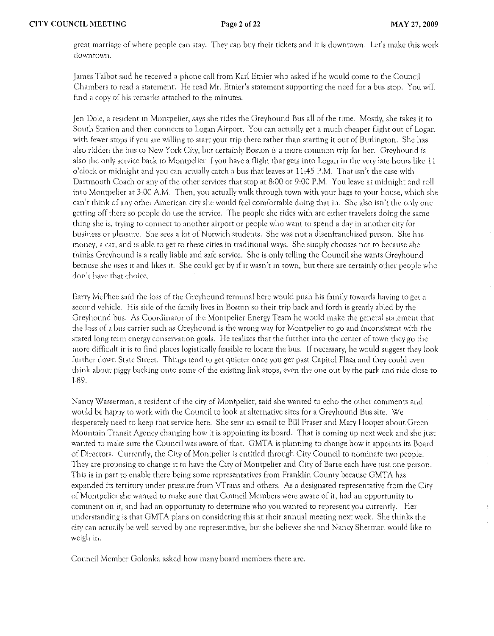great marriage of where people can stay. They can buy their tickets and it is downtown. Let's make this work downtown.

James Talbot said he received a phone call from Karl Ernier who asked if he would come to the Council Charn.bers to read a statement. He read Mr. Etnier's statement supporting the need for a bus stop. You will find a copy of his rcrnarks attached to the minutes,

Jen Dole, a resident in Montpelier, says she rides the Greyhound Bus all of the time. Mostly, she takes it to South Station and then connects to Logan Airport. You can actually get a much cheaper flight out of Logan with fewer stops if you are willing to start your trip there rather than starting it out of Burlington. She has also ridden the bus to New York City, but certainly Boston is a more common trip for her. Greyhound is also the only service back to Montpelier if you have a flight that gets into Logan in the very late hours like 11 o'clock or midnight and you can actually catch a bus that leaves at 11:45 P.M. That isn't the case with Dartmouth Coach or any of the other services that stop at 8,00 or 9,00 P.M. You leave at midnight and roll into Montpelier at 3,00 A.M. Then, you actually walk through town with your bags to your house, which she can'r think of any other American city she would feel comfortable doing that in. She also isn't the only one getting off there so people do use the service. The people she rides with arc either travelers doing the same thing she is, trying to connect to another airport or people who want to spend a day in another city for business or pleasure. She sees a lot of Nonvich students. She was not a disenfranchised person. She has money) a car, and is able to get to these cities in traditional ways. She simply chooses not to because she thinks Greyhound is a really liable and safe service. She is only telling the Council she wants Greyhound because she uses it and likes it. She could get by if it wasn't in town, but there are certainly other people who don't have fhat choice.

Barry McPhee said the loss of the Greyhound terminal here would push his family towards having to get a second vehicle. His side of the family lives in Boston so their trip back and forth is greatly abled by the Greyhound bus. As Coordinator of the Montpelier Energy Team he would make the general statement that the loss of a bus carrier such as Greyhound is the wrong way for Montpelier to go and inconsistent with the stated long term energy conservation goals. He realizes that the further into the center of town they go the more difficult it is to find places logistically feasible to locate the bus. If necessary, be would suggest they look further down State Street. Things tend to get quieter once you get past Capitol Plaza and they could even think about piggy backing onto sorne of the existing link stops} even the one out by the park and ride close to 1·89.

Nancy Wasserman, a resident of the city of Montpelier, said she wanted to echo the other comments and would be happy to work with the Council to look at alternative sites for a Greyhound Bus site. We desperately need to keep that service here. She sent an e-mail to Bill Fraser and Mary Hooper about Green Mountain Transit Agency changing how it is appointing its board. That is coming up next week and she just wanted to make sure the Council was aware of that. GMTA is planning to change how it appoints its Board of Directors. Currently, the City of Montpelier is entitled through City Council to nominate two people. They are proposing to change it to have the City of Montpelier and City of Barre each have just one person. This is in part to enable there being some representatives from Franklin County because GMTA has expanded irs territory under pressure from Vfrans and others. As a designated representative from the City of Montpelier she wanted to make sure that Council Members were aware of it, had an opportunity to comment on it, and had an opportunity to determine who you wanted to represent you currently. Her understanding is that GMTA plans on considering this at their annual meeting next week. She thinks the city can actually be well served by one rcprescnl'ative} but· she believes she and Nancy Shennan would like to weigh in.

Council Member Golonka asked how many board members there are.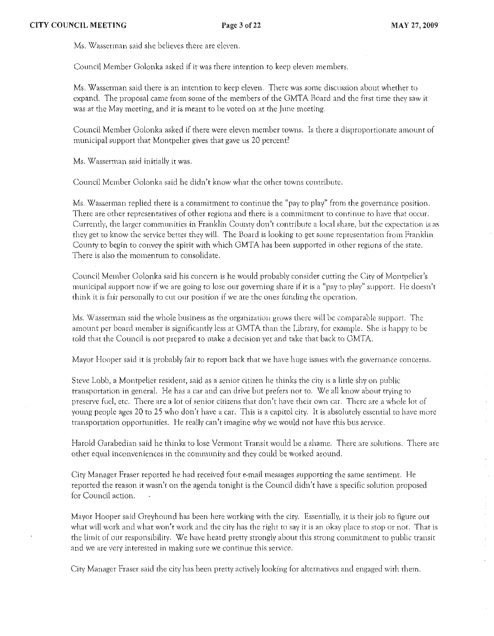Ms. Wasserman said she believes there are eleven.

Council Member Golonka asked if it was there intention to keep eleven members.

Ms. Wasserman said there is an intention to keep eleven. There was some discussion about whether to expand. The proposal came from some of the members of the GMTA Board and the first time they saw it was at the May meeting, and it is meant to be voted on at the June meeting.

Council Member Golonka asked if there were eleven member towns. Is there a disproportionate amount of municipal support that Montpelier gives that gave us 20 percenr'

Ms. Wasserman said initially it was.

Council Member Golonka said he didn't know what the other towns contribute.

Ms. Wasserman replied there is a commitment to continue the "pay to play" from the governance position. There are other representatives of other regions and there is a commitment to continue to have that occur. Currently, the larger communities in Franklin County don't contribute a local share, but the expectation is as they get to know the service better they will. The Board is looking to get some representation from Franklin County to begin to convey the spirit with which GMT A has been supported in other regions of the state. There is also the momentum to consolidate.

Council Member Golonka said his conccrn is he would probably consider cutting the City of Montpelier's municipal support now if we are going to lose our governing share if it is a "pay to play" support. He doesn't think it is fair personally to cut our position if we are the ones funding the operation.

*Ms.* Wasserman said the whole business as the organization grows there will be comparable support. The amount per board member is significantly less at GMTA than the Library, for example. She is happy to be told that the Council is not prepared to make a decision yet and take that back to GMTA.

Mayor Hooper said it is probably fair to report back that we have huge issues with the governance concerns.

Steve Lobb, a Montpelier resident, said as a senior citizen he thinks the city is a little shy on public transportation in general. He has a car and can drive but prefers not to. We all know about trying to preserve fuel, etc. There are a lot of senior citizens that don't have their own car. There are a whole lot of young people ages 20 to 25 who don't have a car. This is a capitol city. It is absolutely essential to have more transportation opportunities. He really can't imagine why we would not have this bus service.

Harold Garabedian said he thinks to lose Vermont Transit would be a shame. There arc solutions. There are other equal inconveniences in the community and they could be worked around.

City Manager Fraser reported he had received four e-mail messages supporting the same sentiment. He reported the reason it wasn't on the agenda tonight is the Council didn't have a specific solution proposed for Council action.

Mayor Hooper said Greyhound has been here working with the city. Essentially, it is their job to figure out what will work and what won't work and the city has the right to say it is an okay place to stop or not. That is the limit of our responsibility. We have heard pretty strongly about this strong commitment to public transit and we are very interested in making sure we continue this service.

City Manager Fraser said the city has been pretty actively looking for alternatives and engaged with them.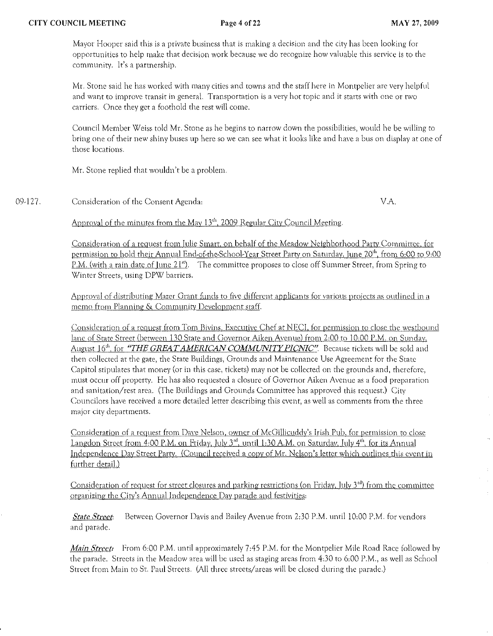Mayor Hooper said this is a private business that is making a decision and the city has been looking (or opportunities to help make that decision work because we do recognize how valuable this service is to the community. It's a partnership.

Mr. Stone said he has worked wirh many cities and towns and the staff here in Montpelier are very helpful and want to improve transit in general. Transportation is a very hot topic and it starts with one or nvo carriers. Once they get a foothold the rest will come.

Council Member Weiss told Mr. Stone as he begins to narrow down the possibilities, would he be willing to bring one of their new shiny buses up here so we can see what it looks like and have a bus on display at one of those locations.

Mr. Stone replied that wouldn't be a problem.

09·127 Consideration of the Consent Agenda: VA

Approval of the minutes from the May  $13<sup>th</sup>$ , 2009 Regular City Council Meeting.

Consideration of a request from Iulie Smart, on behalf of the Meadow Neighborhood Party Committee, for permission to hold their Annual End·of·the·School·Year Street Party on Saturday, June 20''', from 6:00 to 9:00 P.M. (with a rain date of June 21"). The committee proposes to close off Summer Street, from Spring to \f./intcr Streets, using DPW barriers.

Approval of distributing Mazer Grant funds to five different applicants for various projects as outlined in a memo from Planning & Community Development staff.

Consideration of a request from Tom Bivins, Executive Chef at NECI, for permission to close the westbound lane of State Street (between 130 State and Governor Aiken Avenue) from 2:00 to 10:00 P.M. on Sunday, August 16<sup>th</sup>, for *"THE GREAT AMERICAN COMMUNITY PICNIC"*. Because tickets will be sold and then collected at the gate, the State BUildings, Grounds and Maintenance Use Agreement for the State Capitol stipulates that money (or in this case, tickets) may not be collected on the grounds and, therefore, must occur off property. He has also requested a closure of Governor Aiken Avenue as a food preparation and sanitation/rest area. (The Buildings and Grounds Committee has approved this request.) City Councilors have received a more detailed letter describing this event, as well as comments from the three major city departments.

Consideration of a request from Dave Nelson, owner of McGillicuddy's Irish Pub, for permission to close Langdon Street from 4:00 P.M. on Friday, July 3<sup>rd</sup>, until 1:30 A.M. on Saturday, July 4<sup>th</sup>, for its Annual Independence Day Street Party. (Council received a copy of Mr. Nelson's lerrer which outlines this event in further detail.)

Consideration of request for street closures and parking restrictions (on Friday, July  $3<sup>rd</sup>$ ) from the committee organizing the City's Annual Independence Day parade and festivities:

*State Street:* Between Governor Davis and Bailey Avenue from 2:30 P.M. until 10:00 P.M. for vendors and parade.

*Main Street:* From 6:00 P.M. until approximately 7:45 P.M. for the Montpelier Mile Road Race followed by the parade. Streets in the Meadow area will be used as staging areas from 4:30 to 6:00 P.M., as well as School Street from Main to St. Paul Streets. (All three streets/areas will be closed during the parade.)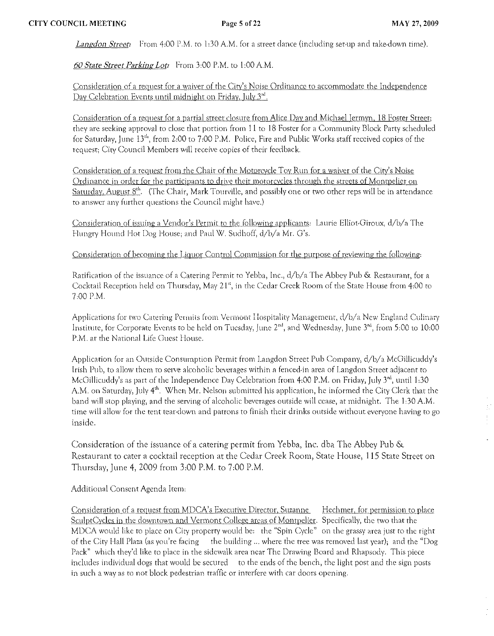*Langdon Street:* From 4:00 P.M. to 1:30 A.M. for a street dance (including set-up and take-down time).

*60 State Street Parking Lot:* From 3:00 P.M. to 1:00 A.M.

Consideration of a request for a waiver of the City's Noise Ordinance to accommodate the Independence Day Celebration Events until midnight on Friday, July 3<sup>rd</sup>,

Consideration of a request for a partial street closure from Alice Day and Michael Jermyn, 18 Foster Street; they are seeking approval to close that portion from 11 to 18 Foster for a Community Block Party scheduled for Saturday, June 13<sup>th</sup>, from 2:00 to 7:00 P.M. Police, Fire and Public Works staff received copies of the request; City Council Members will receive copies of their feedback.

Consideration of a request from the Chair of the Motorcycle Toy Run for a waiver of the City's Noise Ordinance in order for the participants to drive their motorcycles through the streets of Montpelier on Saturday, August  $8<sup>th</sup>$ . (The Chair, Mark Tourville, and possibly one or two other reps will be in attendance to answer any further questions the Council might have,)

Consideration of issuing a Vendor's Permit to the following applicants: Laurie Elliot-Giroux, d/b/a The Hungry Hound Hot Dog House; and Paul W. Sudhoff, d/b/a Mr. G's.

Consideration of becoming the Liquor Control Commission for the purpose of reviewing the following:

Ratification of the issuance of a Catering Permit to Yebba, Inc., d/b/a The Abbey Pub & Restaurant, for a Cocktail Reception held on Thursday, May 21", in the Cedar Creek Room of the State House from +00 to 7,00 P.M.

Applications for two Catering Permits from Vermont Hospitality Management, d/b/a New England Culinary Institute, for Corporate Events to be held on Tuesday, June 2<sup>nd</sup>, and Wednesday, June 3<sup>rd</sup>, from 5:00 to 10:00 P.M. at the National Life Guest House.

Application for an Outside Consumption Permit ftom Langdon Street Pub Company, d/b/a McGillicuddy's Irish Pub, to allow them to serve alcoholic beverages within a fenced-in area of Langdon Street adjacent to McGillicuddy's as part of the Independence Day Celebration from 4:00 P.M. on Friday, July  $3<sup>rd</sup>$ , until 1:30 A.M. on Saturday, July 4<sup>th</sup>. When Mr. Nelson submitted his application, he informed the City Clerk that the band will stop playing, and the serving of alcoholic beverages outside will cease, at midnight. The 1:30 A,M. tirnc will allow for the tent tear-down and patrons to finish thcir drinks outside without everyone having to go inside.

Consideration of the issuance of a catering permit from Yebba, Inc. dba The Abbey Pub & Restaurant to cater a cocktail reception at the Cedar Creek Room, State House, 115 State Street on Thursday, June 4, 2009 from 3:00 P.M. to 7:00 P.M.

Additional Consent Agenda Item,

Consideration of a request from MDCA's Executive Director, Suzanne Hechmer, for permission to place SculptCycles in the downtown and Vermont College areas of Montpelier. Specifically, the two that the MDCA would like to place on City property would be: the "Spin Cycle" on the grassy area just to the right of the City Hall Plaza (as you're facing the building ... where the tree was removed last year); and the "Dog Pack" which they'd like to place in the sidewalk area neat The Drawing Board and Rhapsody. This piece includes individual dogs that would be secured to the ends of the bench, the light post and the sign posts in such a way as to not block pedestrian traffic or interfere with car doors opening.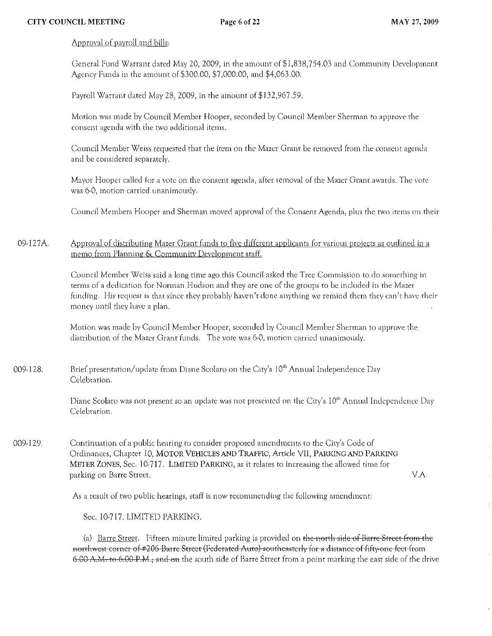# Approval of payroll and bills:

General Fund Warrant dated May 20,2009, in rhe amount of\$I,838,754.03 and Community Developmenr Agency Funds in the amount of \$300.00, \$7,000.00, and \$4,063.00.

Payroll Warrant dated May 28, 2009, in the amount of \$132,967 .59.

Motion was made by Council Member Hooper, seconded by Council Member Sherman to approve the consent agenda with the two additional items,

Council Mernber Weiss requested that the item on the Mazer Grant be removed from the consent· agenda and be considered separately,

Mayor Hooper called for a vote on the consent agenda, after removal of the Mazer Grant awards. The vote was 6-0, motion carried unanimously.

Council Members Hooper and Sherman moved approval of the Consent Agenda, plus the two items on their

09-127A. Approval of distributing Mazer Grant funds to five different applicants for various projects as outlined in a memo from Planning & Community Development staff.

> Council Member *\Xlciss* said a long time ago this Council asked the Tree Commission to do somerhing in terms of a dedication for Nonnan Hudson and they are one of the groups to be included in the Mazer funding. His request is that since they probably haven't done anything we remind them they can't have their money until they have a plan.

Motion was made by Council Member Hooper, seconded by Council Member Sherman to approve the distribution of the Mazer Grant funds. The vote was 6-0, motion carried unanimously.

009-128. Brief presentation/update from Diane Scolaro on the City's 10<sup>th</sup> Annual Independence Day Celebration.

> Diane Scolaro was not present so an update was not presented on the City's 10<sup>th</sup> Annual Independence Day Celebration.

009·129. Continuation of a public hearing to consider proposed amendments to the City's Code of Ordinances, Chapter 10, MOTOR VEHICLES AND TRAFFIC, Article VII, PARKING AND PARKING METER ZONES, Sec. 10-717. LIMITED PARKING, as it relates to increasing the allowed time for parking on Barre Street.

VA

As a result of two public hearings, staff is now recommending the following amendment:

Sec. 10·717. LIMITED PARKING.

(a) Barre Street. Fifteen minute limited parking is provided on the-north-side of Barre-Street-from the northwest corner of #206 Barre Street (Federated Auto) southeasterly for a distance of fifty one feet from 6.00 A.M. to 6.00 P.M., and on the south side of Barre Street from a point marking the east side of the drive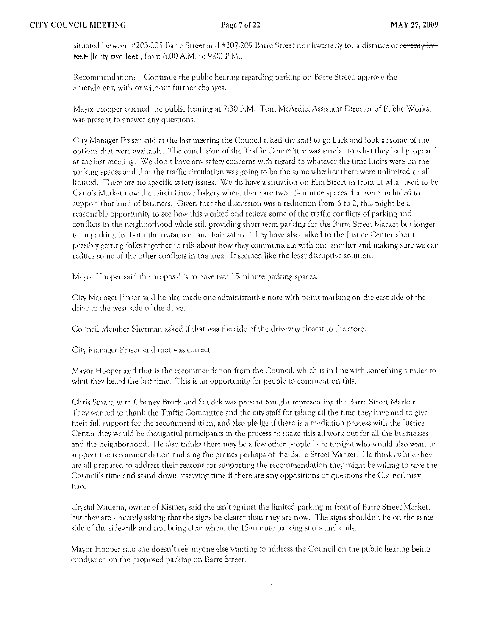situated between #203-205 Barre Street and #207-209 Barre Street northwesterly for a distance of seventy-five feet- $[$ forty two feet $]$ , from 6:00 A.M, to 9:00 P.M.,

Recommendation: Continue the public hearing regarding parking on Barre Street; approve the amendment, with or without further changes.

Mayor Hooper opened the public hearing at 7:30 P.M. Tom McArdle, Assistant Director of Public Works, was present to answer any questions.

City Manager Fraser said at the last meeting the Council asked the staff to go back and look at some of the options that were available. The conclusion of the Traffic: Committee was similar to what they had proposed at the last meeting. We don't have any safety concerns with regard to whatever the time limits were on the parking spaces and that the traffic circulation was going to be the same whether there were unlimited or all limited. There arc no specific safety issues. We do have a situation on Elm Street in front of what used to be Cano's Market now the Birch Grove Bakery where there are two 15-minute spaces that were included to support that kind of business. Given that the discussion was a reduction from 6 to 2, this might be a reasonable opportunity to see how this worked and relieve some of the traffic conflicts of parking and conflicts in the neighborhood while still providing short term parking for the Barre Street Market but longer term parking for both the restaurant and hair salon. They have also talked to the Justice Center about possibly getting folks together to talk about how they communicate with one another and making sure we can reduce some of the other conflicts in the area. It seemed like the least disruptive solution.

Mayor Hooper said the proposal is to have two 15-minute parking spaces.

City Manager Fraser said he also made one administrative note with point marking on the east side of the drive to the west side of the drive.

Council Member Sherman asked if that was the side of the driveway closest to the store.

City Manager Fraser said that was correct,

Mayor Hooper said that is the recommendation from the COllncit which is in line with something similar to what they heard the last time. This is an opportunity for people to comment on this.

Chri, Smarr, with Cheney Brock and Saudek was present tonight representing the Barre Streer Market. They wanted to thank the Traffic Committee and the city stafffor taking all the time they have and to give their full support for the recommendation, and also pledge if there is a mediation process with the Justice Center they would be thoughtful participants in the process to make this all work out for all the businesses and the neighborhood. He also thinks there may be a few other people here tonight who would also want to support the rccommcndarion and sing the praises perhaps of the Barre Street Market, He thinks while they are all prepared to address their reasons for supporting the recommendation they might be willing to save the Council's time and stand down reserving time if there are any oppositions or questions the Council may have,

Crystal Maderia, owner of Kismet, said she isn't against the limited parking in front of Barre Street Market, but they are sincerely asking that the signs be clearer than they are now. The signs shouldn't be on the same side of the sidewalk and not being clear where the 15-minute parking starts and ends.

Mayor Hooper said she doesn't see anyone else wanting to address the Council on the public hearing being conducted on the proposed parking on Barre Street.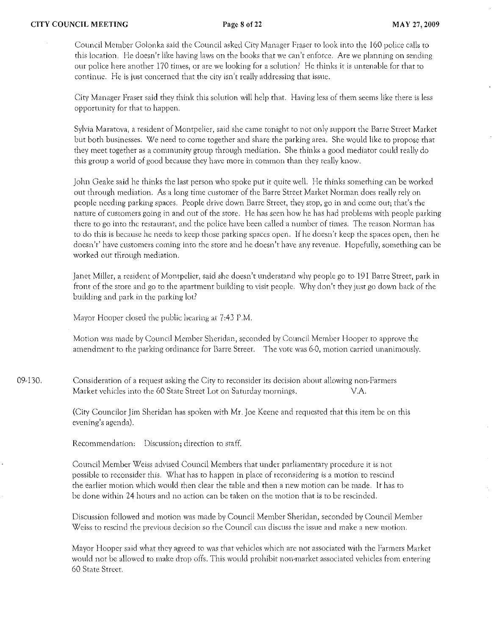Council Member Golonka said the Council asked City Manager Fraser to look into the 160 police calls to this location. He doesn't like having laws on the books that we can't enforce. Are we planning on sending our police here another 170 times) or arc we looking for a solution? He thinks it is untenable for that to continue. He is just concerned that the city isn't really addressing that issue:.

City Manager Fraset said they think this solution will help that. Having less of them seems like there is less opportunity for that to happen.

Sylvia Maratova, a resident of Montpelier, said she came tonight to not only support the Barre Street Market but both businesses. We need to come togethet and shate the parking area. She would like to propose that they meet together as a community group through mediation. She thinks a good mediator could really do this group a world of good because they have more in common than they really know.

John Geake said he thinks the last person who spoke put it quite well. He thinks something can be worked out through mediation. As a long time customer of the Barre Street Market Norman docs really rely on people needing parking spaces. People drive down Barre Street, they stop, go in and come out; that's the nature of customers going in and out of the store. He has seen how he has had problems with people parking there to go into the restaurant, and the police have been called a number of times. The reason Norman has to do this is because he needs to keep those parking spaces open. If he doesn)t keep the spaces open, then he doesn't' have customers coming into the store and he doesn't have any revenue. Hopefully, something can be worked out through mediation.

Janet Miller, a resident of Montpelier, said she doesn't understand why people go to 191 Barre Street, park in front of the store and go to the apartment building to visit people. Why don't they just go down back of the building and park in the parking lot?

Mayor Hooper closed the public hearing at 7:43 P.M.

Motion was made by Council Member Sheridan, seconded by Council Member Hooper to approve the amendment to the parking ordinance for Barre Street. The vote was 6-0, motion carried unanimously.

09,130. Consideration of a request asking the City to reconsider its decision about allowing non-Farmers Market vehicles into the 60 State Street Lot on Saturday mornings. V.A.

> (City Councilor Jim Sheridan has spoken with Mr. Joe Keene and requested that this item be on this evening's agenda).

Recommendation: Discussion; direction to staff.

Council Member Weiss advised Council Members that under parliamentary procedure it is not possible to reconsider this. What has to happen in place of reconsidering is a motion to rescind the earlier motion which would then clear the table and then a new motion can be made. It has to be done within 24 hours and no action can he taken on the motion that is to be rescinded.

Discussion followed and motion was made by Council Member Sheridan, seconded by Council Member Weiss to rescind the previous decision so the Council can discuss the issue and make a new motion.

Mayor Hooper said what they agreed to was that vehicles which are not associated with the Farmers Market would not be allowed to make drop offs. This would prohibit non-market associated vehicles from entering 60 State Street.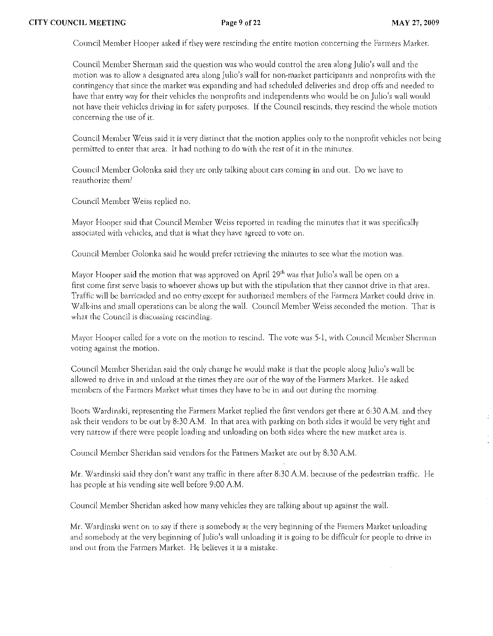Council Mcrnbcr Hooper asked if they were rescinding the entire motion concerning the Fanners Marker.

Council Member Sherman said the question was who would control the area along Julio's wall and the rnotion was to allow a designated area along Julic/s wall for non-market participants and non profits with the contingency that since the market was expanding and had scheduled deliveries and drop offs and needed to have that entry way for their vehicles the nonprofirs and independents who would be on Julio's wall would not have their vehicles driving in for safety purposes. If the Council rescinds, they rescind the whole motion concerning the usc of it.

Council Member Weiss said it is very distinct that the motion applies only to the nonprofit vehicles not being permitted to enter that area. It had nothing to do with the rest of it in the minutes.

Council Member Golonka said they are only talking about cars coming in and Ollt. Do we have to reauthorize them?

Council Member Weiss replied no.

Mayor Hooper said that Council Member *\Xleiss* reported in reading the rninutes that it was specifically associated with vehicles, and that is what they have agreed to vote on.

Council Member Golonka said he would prefer retrieving the minutes to see what the motion was.

Mayor Hooper said the motion that was approved on April  $29^{\text{th}}$  was that Julio's wall be open on a first come first serve basis to whoever shows up but with the stipulation that they cannot drive in that area. Traffic will be barricaded and no entry except for authorized members of the Farmers Market could drive in. Walk-ins and small operations can be along the wall. Council Member Weiss seconded the motion. That is what the Council is discussing rescinding.

Mayor Hooper called for a vote on the motion to rescind. The vote was 5-1, with Council Member Sherman voting against the motion.

Council Member Sheridan said the only change he would make is that the people along Julio's wall be allowed to drive in and unload at the times they are out of the way of the Farmers Market. He asked members of the Farmers Market what times they have to be in and out during the morning.

Boots Wardinski, representing the Farmers Market replied the first vendors get there at 6:30 A.M. and they ask their vendors to be out by 8JO AM. In that area with parking on both sides it would be very tight and very narrow if there were people loading and unloading on both sides where the new market area is.

Council Member Sheridan said vendors for the Fanners Market are out by 8:30 AM.

Mr. Wardinski said they don't want any traffic in there after 8:30 A.M. because of the pedestrian traffic. He has people at his vending site *well* before 9:00 AM.

Council Member Sheridan asked how many vehicles they are talking about up against the walL

Mr. \X1ardinski went on ro say if there is somebody at rhe very beginning of the Farmers Market unloading and somebody at the very beginning of Julio's wall unloading it is going to be difficult (or people to drive in and out from the Farmers Market. He believes it is a mistake.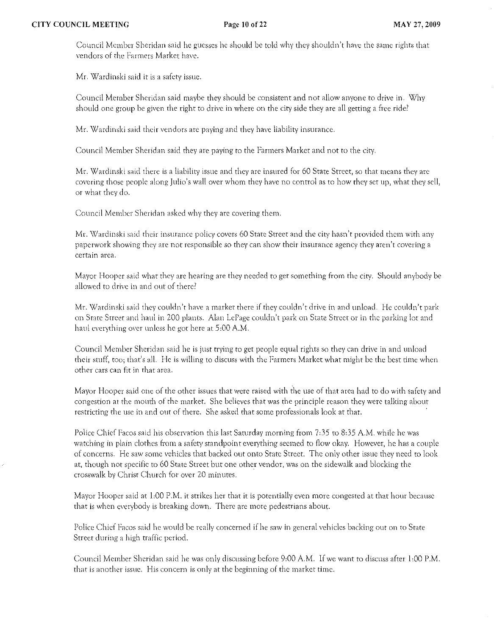Council Member Sheridan said he guesses he should be told why they shouldn't have the same rights that vendors of the Farmers Market have.

Mr. Wardinski said it is a safety issue.

Council Member Sheridan said maybe they should be consistent and not allow anyone to drive in. Why should one group be given the right to drive in where on the city side they are all getting a free ride?

Mr. Wardinski said their vendors are paying and they have liability insurance.

Council Member Sheridan said they are paying to the Farmers Market and not to the city.

Mr. Wardinski said there is a liability issue and they are insured for 60 State Street, so that means they are covering those people along Julio's wall over whom they have no control as to how they set up, what they sell, or what they do.

Council Member Sheridan asked why they arc covering them.

Mr. Wardinski said their insurance policy covers 60 State Street and the city hasn't provided them with any paperwork showing they are not responsible so they can show their insurance agency they aren't covering a certain area.

Mayor Hooper said what they are hearing are they needed to get something from the city, Should anybody be allowed to drive in and out of there?

Mr. Wardinski said they couldn't have a market there if they couldn't drive in and unload. He couldn't park on Stare Sneer and haul in 200 plants, Alan LePage couldn't park on State Strcet Of in the parking lot and haul everything over unless he got here at 5:00 A.M.

Council Member Sheridan said he is just trying to ger people equal rights so they can drive in and unload their stuff, too; that's all. He is willing to discuss with the Farmers Market what might be the best time when other cars can fit in that area.

Mayor Hooper said one of the other issues that were raised with the use of that area had to do with safety and congestion at the mouth of the market, She believes that was the principle reason they were talking abollt restricting the use in and out of there. She asked that some professionals look at that.

Police Chief Facos said his observation this last Saturday morning from 7.35 to 8.35 A.M. while he was watching in plain clothes from a safety standpoint everything seemed to flow okay, However, he has a couple of concerns, He saw some vehicles that backed out onto State Street, The only other issue they need to look at, though nor specific to 60 Srare Street but one other vendor, was on the sidewalk and blocking the crosswalk by Chrisr Church for over 20 minutes.

Mayor Hooper said at 1:00 P.M, it strikes her that it is potentially even more congested at that hour because that is when everybody is breaking down. There are more pedestrians about.

Police Chief Facos said he would be really concerned if he saw in general vehicles backing out on to State Street during a high traffic period.

Council Member Sheridan said he was only discussing before 9,00 A.M. If we want to discuss after 1,00 P.M. that is another issue. His concern is only at the beginning of the market time.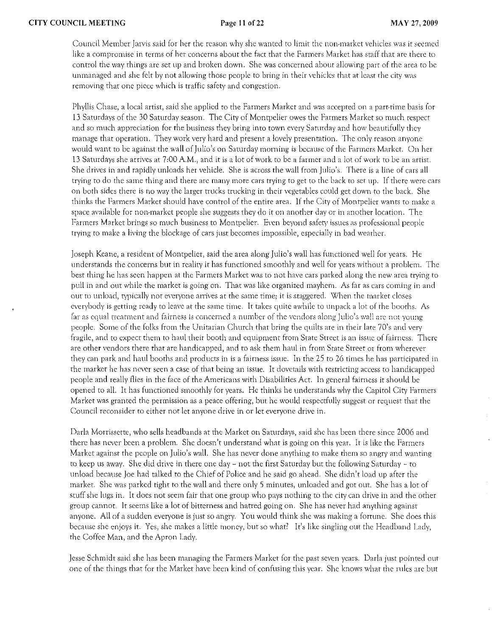Council Member Jarvis said (or her the reason why she wanted to limit the non-market vehicles \vas if seemed like a compromise in terms of her concerns about the fact that the Farmers Marker has staff that are there to control the way things arc set up and broken down. She was concerned about allmving part of the area to be unmanaged and she felt by not allowing those people to bring in their vchicles that at least the city was removing that one piece which is traffic safety and congestion.

Phyllis Chase, a local artist, said she applied to the Farmers Market and was accepted on a part-time basis for 13 Saturdays of the 30 Saturday season. The City of Montpelier owes the Farmers Market so much respect and so much appreciation for the business they bring into town every Saturday and how beautifully they manage that operation. They work very hard and present a lovely presentation. The only reason anyone would want to be against the wall of Julio's on Saturday morning is because of the Farmers Market. On her 13 Saturdays she arrives at 7,00 A.M., and it is a lot of work to be a fanner and a lot of work to be an artist. She drives in and rapidly unloads her vehicle. She is across the wall from Julio's. There is a line of cars all trying to do the same thing and there are many more cars trying to get to the back to set up. If there were cars on both sides there is no way the larger trucks trucking in their vegetables could get down to the back. She thinks the Farmers Market should have control of the entire area. If the City of Montpelier wants to make a space available for non,market people she suggests they do it on another day or in another location. The Farmers Market brings so much business to Montpelier. Even beyond safety issues as professional people trying to make a living the blockage of cars just becomes impossible, especially in bad weather.

Joseph Keane, a resident of Montpelier, said the area along Julio's wall has functioned well for years. He understands the concerns but in reality it has functioned smoothly and well for years without a problem. The best thing he has seen happen at the Farmers Market was to not have cars parked along the new area trying to pull in and out while the market is going on. That was like organized mayhem. As far as cars coming in and out to unload, typically not everyone arrives at the same time; it is staggered. When the market closes everybody is getting ready to leave at the same time. It takes quite awhile to unpack a lot of the booths. As far as equal treatment and fairness is concerned a number of the vendors along Julio's wall are not young people. Some of the folks from the Unitarian Church that bring the qUilts ate in their late 70's and very fragile, and to expect them to haul their booth and equipment from State Street is an issue of fairness. There are other vendors there that arc handicapped, and to ask them haul in from State Street or frorn wherever they can park and haul booths and products in is a fairness issue. In the 25 to 26 times he has participated in the market he has never seen a case of that being an issue. It dovetails with restricting access to handicapped people and really flies in the face of the Americans with Disabilities Act. In general fairness it should be opened to all. It has functioned smoothly for years. He thinks he understands why the Capitol City Farmers Market was granted the permission as a peace offering, but he would respectfully suggest or request that the Council reconsider to either not let anyone drive in or let everyone drive in.

Darla Morrissette, who sells headbands at the Market on Saturdays, said she has been there since 2006 and there has never been a problem. She doesn't understand what is going on this year. It is like the Farmers Market against the people on Julio's wall. She has never done anything to make them so angry and wanting to keep us away. She did drive in there one day - not the first Saturday but the following Saturday - to unload because Joe had talked to the Chief of Police and he said go ahead. She didn't load up aftcr the market. She was parked tight to rhe wall and there only 5 minutes, unloaded and gor out. She has a lot of stuff she lugs in. It does not seem fair that one group who pays nothing to the city can drive in and the other group cannot. It seems like a lot of bitterness and hatred going on. She has never had anything against anyone. All of a sudden everyone is just so angry. You would think she was making a fortune. She does this because she enjoys it. Yes, she makes a little money, but so what? It's like singling out the Headband Lady, the Coffee Man, and the Apron Lady.

Jesse Schmidt said she has been rnanaging the Farmers Market (or the past seven years. Darla just pointed out one of the things that (or the Market have been kind of confusing this year. She knows what the rules arc but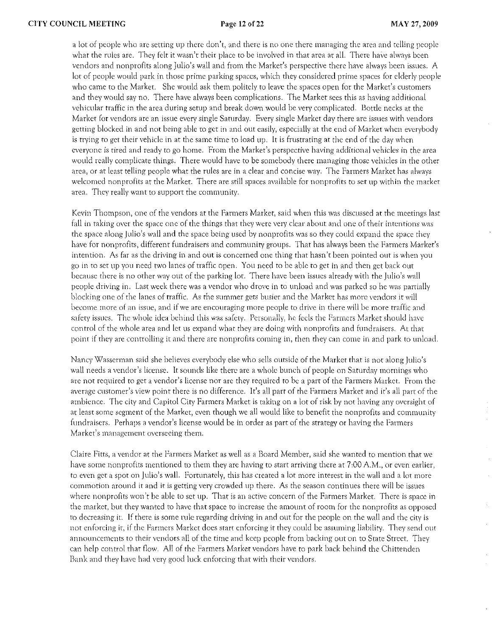a lot of people who are setting up there don't, and there is no one there managing the area and telling people what the rules are. They felt it wasn't their place to be involved in that area at all. There have always been vendors and nonprofits along Julio's wall and from the Market's perspective there have always been isslles. A lot of people would park in those prime parking spaces, which they considered prime spaces for elderly people who came to the Market. She would ask them politely to leave the spaces open for the Market's customers and they would say no. There have always been complications. The Market sees this as having additional vehicular traffic in the area during setup and break down would be very complicated. Bottle necks at the Market for vendors arc an issue every single Saturday. Every single Market day there are issues with vendors getting blocked in and not being able to get in and out easily, especially at the end of Market when everybody is trying to get their vehicle in at the same time to load up. lr is frustrating at the end of the day when everyone is tired and ready to go home. From the Market's perspective having additional vehicles in the area would really cornplicate things. There would have to be somebody there managing those vehicles in the other area, or at least telling people what the rules are in a clear and concise way. The Farmers Market has always welcomed nonprofits at the Market. There are still spaces available for nonprofits to set up within the market area. They really want to support the community.

Kevin Thompson, one of the vendors at the Farmers Market, said when this was discussed at the meetings last fall in taking over the space one of the things that they were very clear about and one of their intentions was the space along Julio's wall and the space being used by nonprofits was so they could expand the space they have for nonprofits, different fundraisers and community groups. That has always been the Farmers Market's intention. As far as the driving in and out is concerned one thing that hasn't been pointed out is when you go in to set up you need two lanes of traffic open. You need to be able to get in and then get back out because there is no other way out of the parking lot. There have been issues already with the Julio's wall people driving in. Last week there was a vendor who drove in to unload and was parked so he was partially blocking one of the lanes of traffic. As the summer gets busier and the Market has more vendors it will become more of an issue, and if we are encouraging more people to drive in there will be more traffic and safety issues. The whole idea behind this was safety. Personally, he feels the Farmers Market should have control of fhe whole area and let us expand what they are doing with nonprofits and fundraisers. At that point if they are controlling it and there are nonprofits coming in, then they can come in and park to unload.

Nancy Wasserman said she believes everybody else who sells outside of the Market that is not along Julio's wall needs a vendor's license. It sounds like there are a whole bunch of people on Saturday mornings who arc not required to get a vendor's license nor arc they required to be a part of the Fanners Market. From the average customer's view point there is no difference. It's all part of the Farmers Market and *ies* all part: of the ambience. The city and Capitol City Fanners Market is taking on a lot of risk by not having any oversight of at least some segment of the Market, even though we all would like to benefit the nonprofits and community fund raisers. Perhaps a vendor's license would be in order as part of the strategy or having the Farmers Market's management overseeing them.

Claire Fitts, a vendor at the Farmers Market as well as a Board Member, said she wanted to mention that we have some nonprofirs mentioned to them they are having to start arriving there at 7:00 A.M.) or even earlier, to even get a spot on Julio's wall. Fortunately, this has created a lot more interest in the wall and a lot more commotion around it and it is getting very crowded up there. As the season continues there will be issues where nonprofits won't be able to set up. That is an active concern of the Farmers Market. There is space in the market, but they wanted to have that space to increase the amount of room for the nonprofits as opposed to decreasing it. If there is some rule regarding driving in and out for the people on the wall and the city is not enforcing it, if the Farmers Market does start enforcing it they could be assuming liability. They send out announcements to their vendors all of the time and keep people from backing out on to State Street. They can help control that flow. All of the Farmers Market vendors have to park back behind the Chittenden Bank and they have had very good luck enforcing that with their vendors.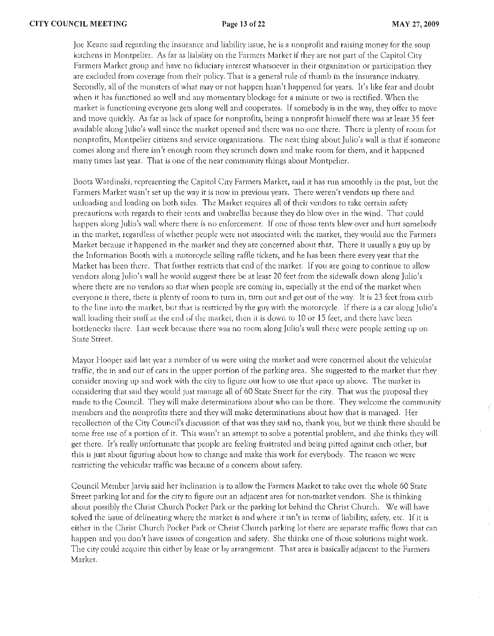Joe Keane said regarding the insurance and liability issue, he is a nonprofit and raising money for the soup kirchens in Montpelier. As far as liability on the Fanners Market if they arc not part of the Capitol City Farmers Market group and have no fiduciary interest whatsoever in their organization or participation they are excluded from coverage from their policy. That is a general rule of thumb in the insurance industry. Secondly, all of the monsters of what may or not happen hasn't happened for years. It's like fear and doubt when it has functioned so well and any momentary blockage for a minute or two is rectified. When the market is functioning everyone gets along well and cooperates. If somebody is in the way, they offer to move and move quickly. As (ar as lack of space for nonprofits, being a nonprofit himself there was at least 35 (eet available along Julio's wall since the market opened and there was no one there. There is plenty of room for nonprofits, Montpelier citizens and service organizations. The neat thing about Julio's wall is that if someone comes along and there isn't enough room they scrunch down and make room for them, and it happened many times last year. That is one of the neat community things about Montpelier.

Boots \X/ardinski, representing the Capitol City Farmers Market, said it has run smoothly in the past, but the Farmers Market wasn't set up the way it is now in previous years. There weren't vendors lip there and unloading and loading on both sides. The Market requires all of their vendors to take certain safety precautions with regards to their tents and umbrellas because they do blow over in the wind. That could happen along Julio's wall where there is no enforcement. If one of those tents blew over and hurt somebody in the market, regardless of whether people were not associated with the market, they would sue the Farmers Market because it happened in the market and they arc concerned about that, There is usually a guy up by the Information Booth with a motorcycle selling raffle tickets, and he has been there every year that the Market has been there. That further restricts that end of the market. If you are going to continue to allow vendors along Julio's wall he would suggest there be at least 20 feet from the sidewalk down along Julio's where there are no vendors so that when people are coming in, especially at the end of the market when everyone is there, there is plenty of room to turn in, turn out and get out of the way. It is 23 feet from curb to the line into the market, but that is restricted by the guy with the motorcycle. If there is a car along Julio's wall loading their stuff at the end of the market, then it is down to 10 or 15 feet, and there have been bottlenecks there. Last week because there was no room along Julio's wall there were people setting up on State Street.

Mayor Hooper said last year a number of us were using the market and were concerned about the vehicular traffic, the in and out of cars in the upper portion of the parking area. She suggested to the rnarket that they consider moving up and work with the city to figure out how to use that space up above. The market in considering that said they \vould just manage all of 60 Stare Street for the city. That was the proposal they made to the Council. They will make determinations about who can be there. They welcome the community members and the nonprofits there and they will make determinations about' how that is managed, Her recollection of the City Council's discussion of that was they said no, thank you, but we think there should be some free use of a portion of it. This wasn't an attempt to solve a potential problem, and she thinks they will get there. It's really unfortunate that people are feeling frustrated and being pitted against each other, but this is just about figuring about how to change and tnake this work for everybody. The reason we were restricting the vehicular traffic was because of a concern about safety.

Council Member Jarvis said her inclination is to allow the Farmers Market to take over the whole 60 State Street parking lot and for the city to figure out an adjacent area for non-market vendors. She is thinking about possibly the Christ Church Pocket Park or the parking lot behind the Christ Church. We will have solved the issue of delineating where the market is and where it isn't in terms of liability, safety, etc. If it is either in the Christ Church Pocket Park or Christ Church parking lot rhere are separate tra(fic flows rhat can happen and you don't have issues of congestion and safety. She thinks one of those solutions might work. The city could acquire this either by lease or by arrangement. That area is basically adjacent to the Farmers Market.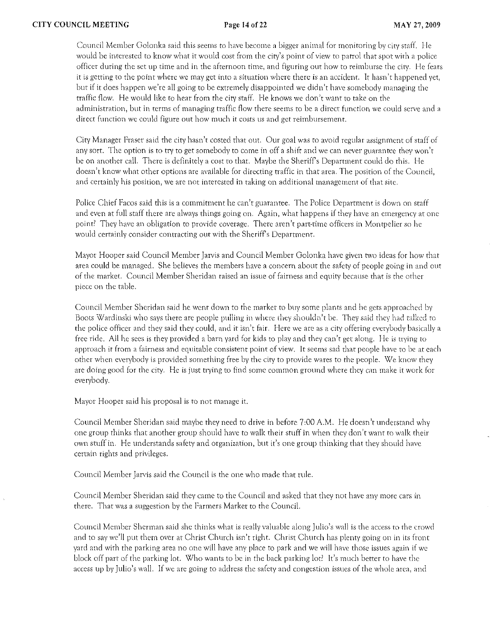Council Member Golonka said this seems to have become a bigger animal for monitoring by city staff. He would be interested to know what it would cost from the city's point of view to patrol that spot with a police officer during the set up time and in the afternoon time, and figuring out how to reirnhursc the city. He (cars it is getting to the point where we may get into a situation where there is an accident. It hasn't happened yet, but if it does happen we're all going to be extremely disappointed we didn't have somebody managing rhe traffic flow. He would like to hear from the city staff. He knows we don't want to take on the administration, but in terms of managing traffic flow there seems to be a direct function we could serve and a direct function we could figure out how much it costs us and get reimbursement.

City Manager Fraser said the city hasn't costed that out. Our goal was to avoid regular assignment of staff of any sort. The option is to try to get somebody to come in off a shift and we can never guarantee they won't be on another call. There is definitely a cost to that. Maybe the Sheriff's Department could do this. He doesn't know what other options afe available for directing traffic in that area. The position of the Council, and certainly his position, we are not interested in taking on additional management of that site.

Police Chief Facos said this is a commitment he can't guarantee, The Police Department is down on staff and even at full staff there are always things going on. Again, what happens if they have an emergency at one point? They have an obligation to provide coverage. There aren't part-time officers in Montpelier so he would certainly consider contracting out with the Sheriffs Department.

Mayor Hooper said Council Member Jarvis and Council Member Golonka have given two ideas for how that area could be managed. She believes the members have a concern about the safety of people going in and out of the market. Council Member Sheridan raised an issue of fairness and equity because that is the other piece on the table.

Council Member Sheridan said he went down to the market to buy some plants and he gets approached by Boots Wardinski who says there are people pulling in where they shouldn't be. They said they had talked to the police officer and they said they could, and it isn't fair. Here we are as a city offering everybody basically a free ride. All he sees is they provided a barn yard for kids to play and they can't get along. He is trying to approach it from a fairness and equitable consistent point of view. It seems sad that people have to be at each other when everybody is provided something free by the city to provide wares to the people. We know they are doing good for the city. He is just trying to find some common ground where they can make it work for everybody.

Mayor Hooper said his proposal is to not manage it.

Council Member Sheridan said maybe they need to drive in before 7:00 A.M. He doesn't understand why one group thinks that another group should have to walk their stuff in when they don\ want to walk their own stuff in. He understands safety and organization, but it's one group thinking that they should have certain rights and privileges.

Council Member JarVis said the Council is the one who made that rule.

Council Member Sheridan said they came to the Council and asked that they not have any more cars in there. That was a suggestion by the Farmers Market to the Council.

Council Member Sherman said she thinks \\!har is really valuable along Julio's wall is the access to fhe crowd and to say we'll put them over at Christ Church isn't right. Christ Church has plenty going on in its front yard and with the parking area no one will have any place to park and we will have those issues again if we block off part of the parking lot. Who wants to be in the back parking lot' It's much better to have the access up by Julio's wall. If we are going to address the safety and congestion issues of the whole arca, and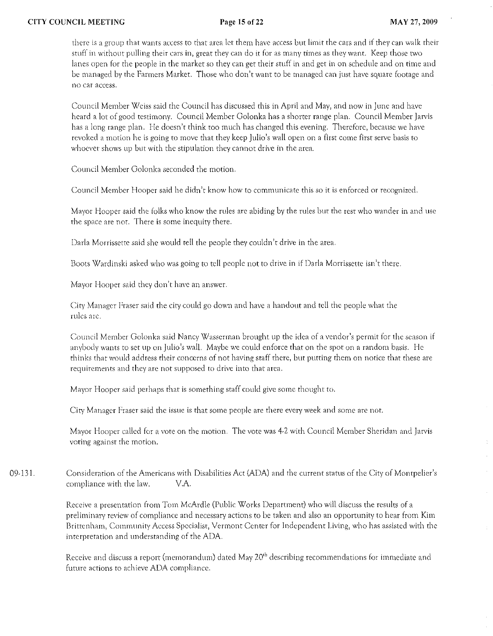there is a group that wants access to that area let them have access but limit the cars and if they can walk their stuff in without pulling their cars in, great they can do it for as many times as they want. Keep those two lanes open for the people in the market so they can get their stuff in and get in on schedule and on time and be managed by the Farmers Market. Those who don't want to be managed can just have square footage and no car access.

Council Member Weiss said the Council has discussed this in April and May, and now in June and have heard a lot of good testimony. Council Member Golonka has a shorter range plan. Council Member Jarvis has a long range plan. He doesn't think too much has changed this evening. Therefore, because we have revoked a motion he is going to rnove that they keep Julio's wall open on a first come first serve basis to whoevet shows up but with the stipulation they cannot drive in the area.

Council Member Golonka seconded the motion.

Council Member Hooper said he didn't know how to communicate this so it is enforced or recognized.

Mayor Hooper said the folks who know the rules are abiding by the rules but the rest who wander in and use the space are not. There is some inequity there.

Darla Morrissette said she would tell the people they couldn't drive in the area.

Boors Wardinski asked who was going to tell people not to drive in if Darla Morrissette isn't there.

Mayor Hooper said they don't have an answer.

City Manager Fraser said the city could go down and have a handout and tell the people what the rules arc.

Council Member Golonka said Nancy Wasserman brought up the idea of a vendor's permit for the season if anybody wants to set up on Julio's wall. Maybe we could enforce that on the spot on a random basis. He thinks that would address their concerns of not having staff there, but putting them on notice that these are requirements and they arc not supposed to drive into that area.

Mayor Hooper said perhaps that is something staff could give some thought to.

City Manager Fraser said the issue is that some people are there every week and some are not.

Mayor Hooper called for a vote on the motion. The votc was 4-2 with Council Member Sheridan and Jarvis voting against the motion.

09-131. Consideration of the Americans with Disabilities Act (ADA) and the current status of the City of Montpelier's compliance with the law. V.A.

> Receive a presentation from Tom McArdle (Public Works Department) who will discuss the results of a preliminary review of compliance and necessary actions to be taken and also an opportunity to hear from Kim Brittenham, Community Access Specialist, Vermont Center for Independent Living, who has assisted with the interpretation and understanding of the ADA.

Receive and discuss a report (memorandum) dated May 20<sup>th</sup> describing recommendations for immediate and future actions to achieve ADA compliance.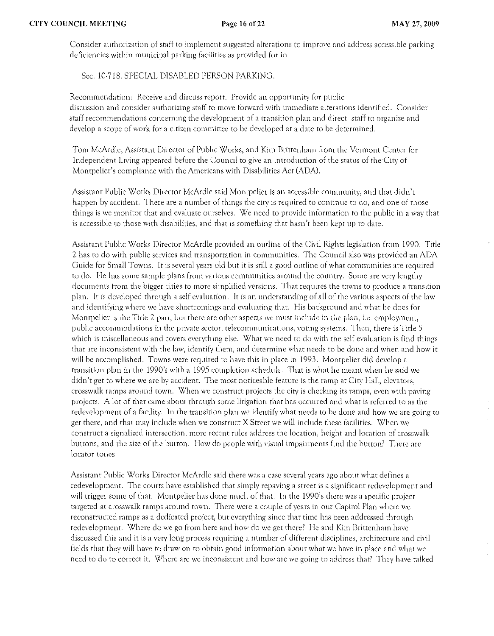Consider authorization of staff to implement suggested alterarions to improve and address accessible parking deficiencies within municipal parking facilities as provided for in

Sec. 10-718. SPECIAL DISABLED PERSON PARKING.

Recommendation: Receive and discuss report. Provide an opportunity (or public discussion and consider authorizing staff to move forward with immediate alterations identified. Consider staff recommendations concerning the development of a transition plan and direct staff to organize and develop a scope of work for a citizen committee to be developed at a date to be determined.

Tom McArdle, Assistant Director of Public Works, and Kim Brittenham from the Vermont Center for Independent Living appeared before the Council to give an introduction of thc status of the'City of Montpelier's compliance with the Americans with Disabilities Act (ADA).

Assistant Public Works Director McArdle said Montpelier is an accessible community, and that didn't happen by accident. There are a number of things the city is required to continue to do, and one of those things is we rnonitor that and evaluate ourselves. *\I/e* need to provide information to the public in a way that is accessible to those with disabilities, and that is something that hasn't been kept up to date.

Assistant Public Works Director McArdle provided an outline of the Civil Rights legislation from 1990. Title 2 has to do with public services and transportation in communities. The Council also was provided an ADA Guide for Small Towns. It is several years old but it is still a good outline of what communities are required to do. He has some sample plans from various communities around the country. Some are very lengthy documents from the bigger cities to more simplified versions. That requires the towns to produce a transition plan. It is developed through a self evaluation. It is an understanding of all of the various aspects of the law and identifying where we have shortcomings and evaluating that. His background and what he does for Montpelier is the Title 2 part, but there are other aspects we must include in the plan, i.e. employment, public accommodations in the private sector, telecommunications, voting systems. Then, there is Title 5 which is miscellaneous and covers everything else. What we need to do with the self evaluation is find things that are inconsistent with the law, identify them, and determine what needs to be done and when and how it will be accomplished. Towns were required to have this in place in 1993. Montpelier did develop a transition plan in the 1990's with a 1995 completion schedule. That is what he meant when he said we didn't get to where we are by accident. The most noticeable feature is the ramp at City Hall, elevators, crosswalk ramps around town. When we construct projects the city is checking its ramps, even with paving projects. A lot of that came about through some litigation that has occurred and what is referred to as the redevelopment of a facility. In the transition plan we identify what needs to be done and how we are going to get there, and that may include when we construct X Street we will include these facilities. When we construct a signalized intersection, more recent rules address the location, height and location of crosswalk buttons, and the size of the button. How do people with visual impairments find the button? There are locator tones.

Assistant Puhlic Works Director McArdle said there was a case several years ago about what defines a redevelopment. The courts have established that simply repaving a street is a significant redevelopment and will trigger some of that. Montpelier has done much of that:. In the 1990's there was a specific project targeted at crosswalk ramps around town. There were a couple of years in our Capitol Plan where we reconstructed ramps as a dedicated project, but everything since that time has been addressed through redevelopment. Where do we go from here and how do we get there? He and Kim Brittenham have discussed this and it is a very long process requiring a number of different disciplines, architecture and civil fields that they will have to draw on to obtain good information about what we have in place and what we need to do to correct it. Where are we inconsistent and how are we going to address that? They have talked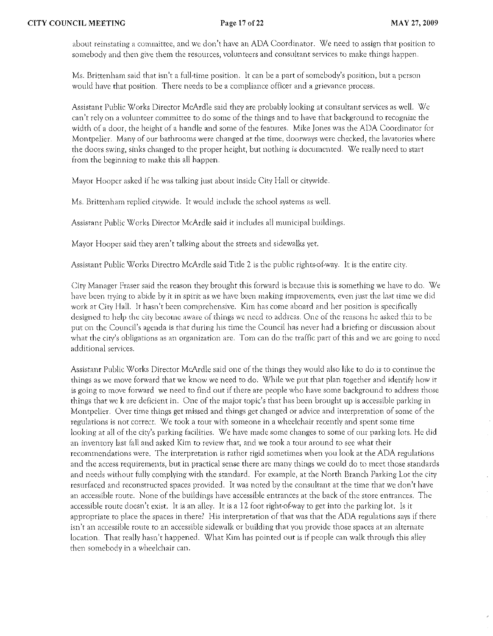about reinstating a committee, and we don't have an ADA Coordinator. We need to assign that position to somebody and then give them the resources, volunteers and consultant services to make things happen.

Ms. Brittenham said that isn't a full-time position. It can be a part of somebody's position, but a person would have that position. There needs to be a compliance officer and a grievance process,

Assistant Public Works Director McArdle said they are probably looking at consultant services as well. We can\ rely on a volunteer committee to do some of the things and to have that background to recognize the width of a door, the height of a handle and some of the features. Mike Jones was the ADA Coordinator for Montpelier. Many of our bathrooms were changed at the time, doorways were checked, the lavatories where the doors swing, sinks changed to the proper height, but nothing is documented. We really need to start (rom the beginning to make this all happen.

Mayor Hooper asked if he was talking just about inside City Hall Or citywide.

Ms. Brittenham replied citywide. It would include the school systems as well.

Assistant Public Works Direcror McArdle said it includes all municipal buildings.

Mayor Hooper said rhey aren't talking about the streets and sidewalks yet.

Assistant Public Works Directro McArdle said Title 2 is the public rights-of-way. It is the entire city.

City Manager Fraser said the reason they brought this forward is because this is something we have to do. We have been trying to abide by it in spirit as we have been making improvements, even just the last time we did work at City Hall. It hasn't been comprehensive. Kim has come aboard and her position is specifically designed to help the city become aware of things we need to address. One of the reasons he asked this to be put on the Council's agenda is that during his time the Council has never had a briefing or discussion about what the city's obligations as an organization are. Tom can do the traffic part of this and we are going to need additional services.

Assisrant Public Works Director McArdle said one of the things they would also like to do is to continlle the things as we move forward that we know we need to do. While we put that plan together and identify how it is going to move forward we need to find out if there are people who have some background to address those things that we k are deficient in. One of the major topic's that has been brought up is accessible parking in Montpelier. Over time things get missed and things get changed or advice and interpretation of some of the regulations is not correct. We took a tour with someone in a wheelchair recently and spent some time looking at all of the city's parking facilities. We have made some changes to some of our parking lots. He did an inventory last fall and asked Kim to review that, and we took a tour around to see what their recomtnendations were. The interpretation is rather rigid sometimes when you look at the ADA regulations and the access requirements, but in practical sense there are many things we could do to meet those standards and needs without fully complying with the standard. For example, at the North Branch Parking Lot the city resurfaced and reconstructed spaces provided. It was noted by the consultant at the time that we don't have an accessible route. None of the buildings have accessible entrances at the back of the store entrances. The accessible route doesn't exist. It is an alley. It is a 12 foot right-of-way to get into the parking lot. Is it appropriate to place the spaces in there? His interpretation of that was that the ADA regulations says if there isn't an accessible route to an accessible sidewalk or building that you provide those spaces at an alternate location. That really hasn't happened. What Kim has pointed out is if people can walk through this alley then somebody in a wheelchair can.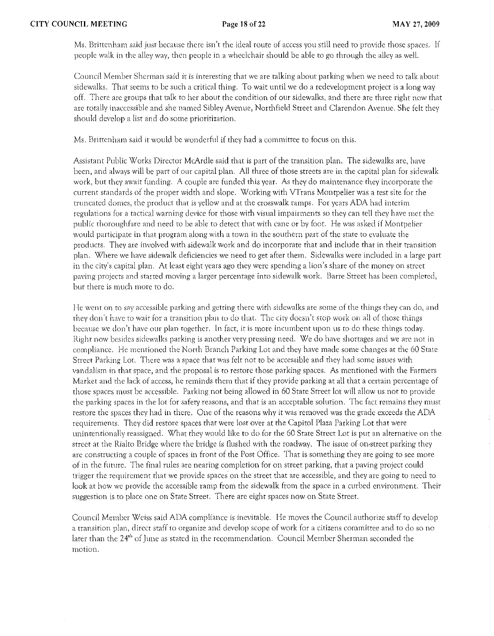Ms. Brittenham said just because there isn't the ideal route of access you still need to provide those spaces. If people walk in the alley way, then people in a wheelchair should be able to go through rhe alley as well.

Council Member Sherman said it is interesting that we are talking about parking when we need to talk about sidewalks. That seems to be such a critical thing. To wait until we do a redevelopment project is a long way off. There are groups that talk to her about the condition of our sidewalks, and there are three right now that are totally inaccessible and she named Sibley Avenue, Northfield Street and Clarendon Avenue. She felt they should develop a list and do some prioritization.

Ms. Brittenham said it would be wonderful if they had a committee to focus on this.

Assistant Public Works Dircctor McArdle said that is part of the transition plan. The sidewalks arc, have been, and always will be part of our capital plan. All threc of those streets arc in the capital plan for sidewalk work) but they await funding. A couple arc funded this year. As they do maintenance they incorporate the current standards of the proper width and slope. Working with VTrans Montpelier was a test site (or the truncated domes, the product that is yellow and at the crosswalk ramps, For years ADA had interim regulations for a tactical warning device for those with visual impairments so they can tell they have met the public thoroughfare and need to be able to detect that with cane or by foot. He was asked if Montpelier would participate in that program along with a town in the southern part of the state to evaluate the products, They are involved with sidewalk work and do incorporate that and include that in their transition plan. \X/here we have sidewalk deficiencies we need to get after them. Sidewalks were included in a large part in the city's capirai pian, At least eight years ago they were spending a lion)s share of the money on street paving projects and started moving a larger percentage into sidewalk work. Barre Street has been completed, bur there is much morc to do.

He went on to say accessible parking and getting there with sidewalks are some of the things they can do, and they don't have to wair for a transition plan to do that. The city doesn't stop work on all of those things because we don't have our plan together. In fact, it is more incumbent upon us to do these things today. Right now besides sidewalks parking is another very pressing need. We do have shortages and we are not in compliance. He mentioned the North Branch Parking Lot and they have made some changes at the 60 State Street Parking Lor, There was a space that was felt not to be accessible and they had some issues with vandalism in that space, and the proposal is to restore those parking spaces. As mentioned with the Farmers Market and the lack of access, he reminds them that if they provide parking at all that a certain percentage of those spaces must be accessible. Parking not being allowed in 60 State Street lot will allow us not to provide the parking spaces in the lot for safety reasons, and that is an acceptable solution. The fact remains they must restore the spaces they had in there, One of the reasons why it was removed was the grade exceeds the ADA requirements, They did restore spaces that were lost over at the Capitol Plaza Parking Lot that were unintentionally reassigned. What they would like to do for the 60 State Street Lot is put an alternative on the street at the Rialto Bridge where the bridge is flushed with the roadway. The issue of on-street parking they arc constructing a couple of spaces in front of the Post Office. That is something they are going to see more of in the future. The final rules are nearing completion for on strcet parking) that a paving project could trigger the requirement that we provide spaces on the street that are accessible) and they are going to need to look at how we provide the accessible ramp from the sidewalk from the space in a curbed environment. Their suggestion is to place one on State Street. There arc eight spaces now on State Street.

Council Member Weiss said ADA compliance is inevitable. He moves the Council authorize staff to develop a transition plan, direct staff to organize and develop scope of work for a citizens committee and to do so no later than the 24<sup>th</sup> of June as stated in the recommendation. Council Member Sherman seconded the motion,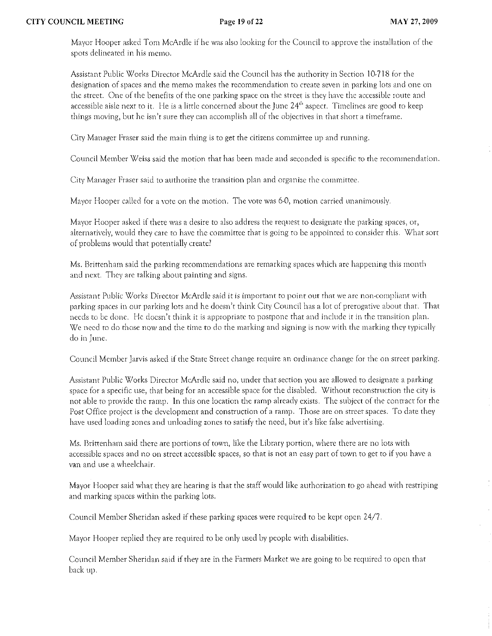Mayor Hooper asked Tom McArdle if he was also looking for the Council to approve the installation of the spots delineated in his memo.

Assistant Public Works Director McArdle said the Council has the authority in Section 10,718 (or the designation of spaces and the memo makes the recommendation to crcate seven in parking lots and one on the street. One of the benefits of the one parking space on the street is they have the accessible route and accessible aisle next to it. He is a little concerned about the June 24<sup>th</sup> aspect. Timelines are good to keep things moving, but he isn't sure they can accomplish all of the objectives in that short a timeframe.

City Manager Fraser said the main thing is to get the citizens committee up and running.

Council Member Weiss said the motion that has been made and seconded is specific to the recommendation.

City Manager Fraser said to authorize the transition plan and organize the committee.

Mayor Hooper called for a vote on the motion. The vote was 6-0, motion carried unanimously.

Mayor Hooper asked if there was a desire to also address the request to designate the parking spaces, or, alternatively, would they care to have the committee that is going to be appointed to consider this. What sort of problems would that potentially create'

Ms. Brittenham said the parking recommendations are remarking spaces which are happening this month and next. They arc talking about painting and signs.

Assistant Public Works Director McArdle said it is important to point out that we are non-compliant with parking spaces in our parking lors and he doesn't think City Council has a lor of prerogarive abour that'. That' needs to be done. He doesn't think it is appropriate to postpone that and include it in the transition plan. We need to do those now and the time to do the marking and signing is now with the marking they typically do in June.

Council Member Jarvis asked if the State Street change require an ordinance change for the on street parking.

Assistant Public Works Director McArdle said no, under that section you are allowed to designate a parking space for a specific use, that being for an accessible space for the disabled. Without reconstruction the city is not able to provide the ramp. In this one location the ramp already exists. The subjecr of rhe contract for rhe Post Office project is the development and construction of a ramp. Those are on street spaces. To date they have used loading zones and unloading zones to satisfy the need, but it's like false advertising.

*Ms.* Brittenham said there arc portions of town) like the Library portion) where there are no lots with accessible spaces and no on street accessible spaces, so that is not an easy part of town to get to if you have a van and use a wheelchair.

Mayor Hooper said what they are hearing is that the staff would like authorization to go ahead with restriping and marking spaces within the parking lots.

Council Member Sheridan asked if these parking spaces were required to be kept open 24/7.

Mayor Hooper replied they are required to be only used by people with disabilities.

Council Mernber Sheridan said if they are in the Farmers Marker we are going to be required to open that' back up,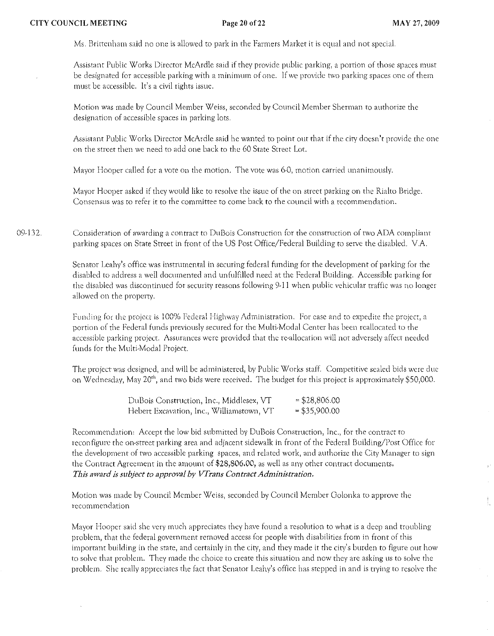Ms. Britrcnham said no one is allowed to park in the Farmers Market it is equal and not special.

Assistant Public Works Director McArdle said if they provide public parking, a portion of those spaces must be designated for accessible parking with a minimum of one. If we provide two parking spaces one of them must be accessible. It's a civil rights issue.

Motion was made by Council Member \X/eiss, seconded by Council Member Shennan to authorize the designation of accessible spaces in parking lots.

Assistant Public Works Director McArdle said he wanted to point out that if the city doesn't provide the one on the street then we need to add one back to the 60 State Street Lot.

Mayor Hooper called for a vote on the motion. The vote was 6-0, motion carried unanimously.

Mayor Hooper asked if they would like to resolve the issue of the on street parking on the Rialto Bridge. Consensus was to refer it to the committee to come back to the council with a recommendation.

09-132. Consideration of awarding a contract to DuBois Construction for the construction of two ADA compliant parking spaces on State Street in front of the US Post Office/Pederal Building to serve the disabled. v.A.

> Senator Leahy's office was instrumental in securing federal funding for the development of parking for the disabled to address a well documented and unfulfilled need at the Federal BUilding. Accessible parking for the disabled was discontinued for security reasons following 9-11 when public vehicular traffic was no longer allowed on the property.

Funding for the project is 100% Federal Highway Administration. For case and to expedite the project, a porrion of the Federal funds previously secured for the Multi-Modal Center has been reallocated to the accessible parking project. Assurances were provided that the re-allocation will not adversely affect needed funds for the Multi-Modal Project.

The project was designed, and will be administered, by Public Works staff. Competitive sealed bids were due on Wednesday, May 20"', and two bids were received. The budget for this project is approximately \$50,000.

| DuBois Construction, Inc., Middlesex, VT  | $=$ \$28,806.00 |
|-------------------------------------------|-----------------|
| Hebert Excavation, Inc., Williamstown, VT | $= $35,900.00$  |

Recommendation: Accept the low bid submitted by DuBois Construction, Inc., for the contract to teconfigure the on-street parking area and adjacent sidewalk in front of the Federal Building/Posr Office for the developmenr of two accessible parking spaces, and related work, and authorize the City Manager to sign the Contract Agreement in the amount of \$28,806.00, as well as any other contract documents. *This award is subject to approval by VTrans Contract Administration.* 

Motion was made by Council Member Weiss, seconded by Council Member Golonka to approve the recommendation

Mayor liooper said she very much appreciates they have found a resolution to what is a deep and troubling problem, that the federal government removed access for people with disabilities from in front of this important building in the state, and certainly in the city, and they made it the city's burden to figure out how to solve that problem. They made the choice to create this situation and now they are asking us to solve the problem. She really appreciates the fact that Senator Leahy's office has stepped in and is trying to resolve the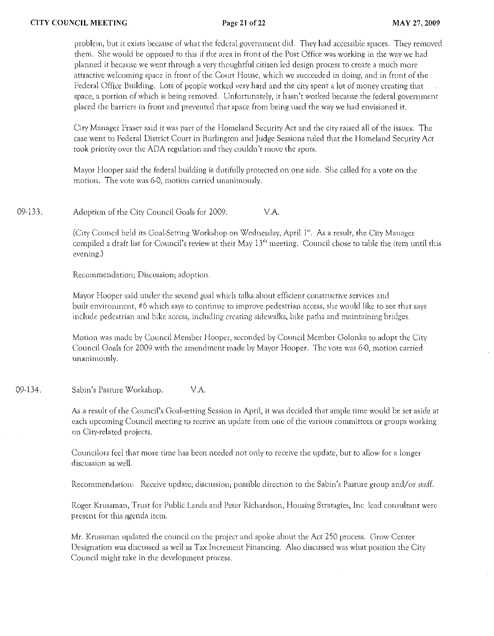problem, but it exists because of what the federal government did. They had accessible spaces. They removed them. She would be opposed to this if the area in front of the Post Office was working in the way we had planned it because we went through a very thoughtful citizen led design process to crcate a much morc attractive welcoming space in front of the Court House, which we succeeded in doing, and in front of the Federal Office Building. Lots of people worked very hard and the city spent a lot of money creating that space, a portion of which is being removed. Unfortunately, it hasn't worked because the federal government placed the barriers in front and prevented that space from being used the way we had envisioned it.

City Manager Fraser said it was part of the Homeland Security Act and the city raised all of the issues. The case went to Federal District Court in Burlington and Judge Sessions ruled that the Homeland Security Act took priority over the ADA regulation and they couldn't move the spots.

Mayor Hooper said the federal building is dutifully protected on one side. She called for a vote on the motion. The votc was 6-0, motion carried unanimously,

09-133. Adoption of the City Council Goals for 2009. V.A.

> (City Council held its Goal-Setting Workshop on Wednesday, April 1st. As a result, the City Manager compiled a draft list for Council's review at their May  $13<sup>th</sup>$  meeting. Council chose to table the item until this evening.)

Recornrncndation; Discussion; adoption.

Mayor Hooper said under the second goal which talks about efficient constructive services and built environment, #6 which says to continue to improve pedestrian access, she would like to see that says include pedestrian and bike access, including creating sidewalks, bike paths and maintaining bridges.

Motion was made by Council Member Hooper, seconded by Council Member Golonka to adopt the City Council Goals for 2009 with the amendment made by Mayor Hooper. The vote was 6-0, motion carried unanimously.

09-134. Sabin's Pasture Workshop. V.A.

> As a result of the Council's Cloal-setting Session in April, it was decided that ample time would be set aside at each upcoming Council meeting to receive an update from one of the various committees or groups working on City-related projects.

Councilors feel that more time has been needed not only to receive the update, but to allow for a longer discussion as well.

Recommendation: Receive update; discussion; possible direction to the Sabin's Pasture group and/or staff.

Roger Krussman, Trust for Public Lands and Peter Richardson, Housing Stratagies, Inc lead consultant were present for this agenda itern.

Mr. Krussman updated the council on the project and spoke about the Act 250 process. Orow Center Designation was discussed as well as Tax Increment Financing. Also discussed was what position the City Council might take in the development process.